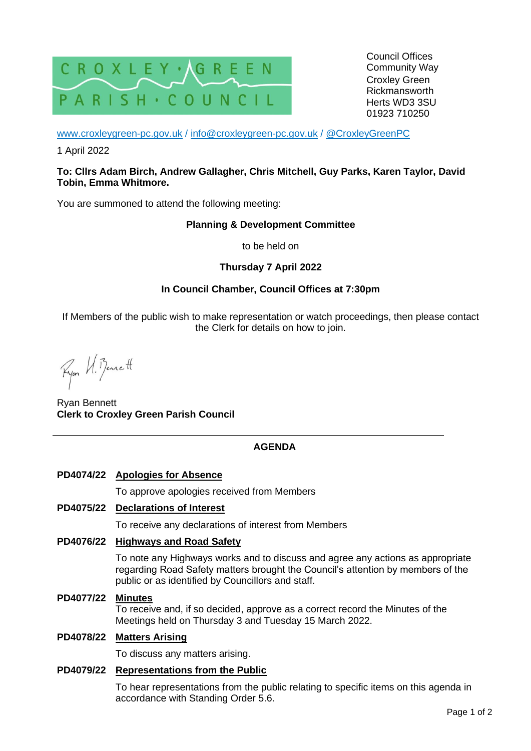

[www.croxleygreen-pc.gov.uk](http://www.croxleygreen-pc.gov.uk/) / [info@croxleygreen-pc.gov.uk](mailto:info@croxleygreen-pc.gov.uk) / [@CroxleyGreenPC](https://twitter.com/CroxleyGreenPC)

1 April 2022

#### **To: Cllrs Adam Birch, Andrew Gallagher, Chris Mitchell, Guy Parks, Karen Taylor, David Tobin, Emma Whitmore.**

You are summoned to attend the following meeting:

#### **Planning & Development Committee**

to be held on

## **Thursday 7 April 2022**

## **In Council Chamber, Council Offices at 7:30pm**

If Members of the public wish to make representation or watch proceedings, then please contact the Clerk for details on how to join.

Ryon U. Bennett

Ryan Bennett **Clerk to Croxley Green Parish Council**

# **AGENDA**

# **PD4074/22 Apologies for Absence**

To approve apologies received from Members

#### **PD4075/22 Declarations of Interest**

To receive any declarations of interest from Members

## **PD4076/22 Highways and Road Safety**

To note any Highways works and to discuss and agree any actions as appropriate regarding Road Safety matters brought the Council's attention by members of the public or as identified by Councillors and staff.

**PD4077/22 Minutes**

To receive and, if so decided, approve as a correct record the Minutes of the Meetings held on Thursday 3 and Tuesday 15 March 2022.

### **PD4078/22 Matters Arising**

To discuss any matters arising.

#### **PD4079/22 Representations from the Public**

To hear representations from the public relating to specific items on this agenda in accordance with Standing Order 5.6.